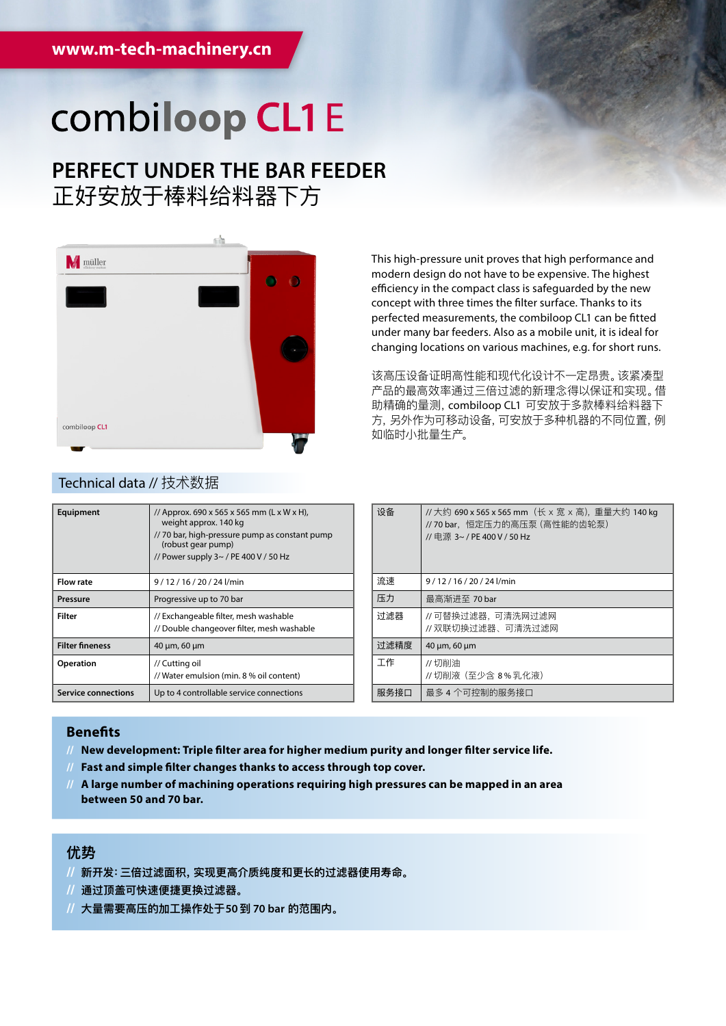## combiloop CL1E

### **PERFECT UNDER THE BAR FEEDER** 正好安放于棒料给料器下方



This high-pressure unit proves that high performance and modern design do not have to be expensive. The highest efficiency in the compact class is safeguarded by the new concept with three times the filter surface. Thanks to its perfected measurements, the combiloop CL1 can be fitted under many bar feeders. Also as a mobile unit, it is ideal for changing locations on various machines, e.g. for short runs.

该高压设备证明高性能和现代化设计不一定昂贵。该紧凑型 产品的最高效率通过三倍过滤的新理念得以保证和实现。借 助精确的量测,combiloop CL1 可安放于多款棒料给料器下 方,另外作为可移动设备,可安放于多种机器的不同位置,例 如临时小批量生产。

| Equipment                  | // Approx. 690 x 565 x 565 mm (L x W x H),<br>weight approx. 140 kg<br>// 70 bar, high-pressure pump as constant pump<br>(robust gear pump)<br>// Power supply $3 \sim$ / PE 400 V / 50 Hz |
|----------------------------|--------------------------------------------------------------------------------------------------------------------------------------------------------------------------------------------|
| <b>Flow rate</b>           | 9/12/16/20/24l/min                                                                                                                                                                         |
| <b>Pressure</b>            | Progressive up to 70 bar                                                                                                                                                                   |
| Filter                     | // Exchangeable filter, mesh washable<br>// Double changeover filter, mesh washable                                                                                                        |
| <b>Filter fineness</b>     | $40 \mu m$ , 60 $\mu m$                                                                                                                                                                    |
| Operation                  | // Cutting oil<br>// Water emulsion (min. 8 % oil content)                                                                                                                                 |
| <b>Service connections</b> | Up to 4 controllable service connections                                                                                                                                                   |

#### Technical data // 技术数据

| 设备   | //大约 690 x 565 x 565 mm (长 x 宽 x 高), 重量大约 140 kg<br>// 70 bar,恒定压力的高压泵 (高性能的齿轮泵)<br>// 申源 3~ / PE 400 V / 50 Hz |
|------|-----------------------------------------------------------------------------------------------------------------|
| 流速   | $9/12/16/20/24$ l/min                                                                                           |
| 压力   | 最高渐讲至 70 bar                                                                                                    |
| 讨滤器  | //可替换过滤器,可清洗网过滤网<br>//双联切换过滤器、可清洗过滤网                                                                            |
| 讨滤精度 | 40 µm, 60 µm                                                                                                    |
| 工作   | // 切削油<br>// 切削液 (至少含 8%乳化液)                                                                                    |
| 服务接口 | 最多 4 个可控制的服务接口                                                                                                  |

#### **Benefits**

- **// New development: Triple filter area for higher medium purity and longer filter service life.**
- **// Fast and simple filter changes thanks to access through top cover.**
- **// A large number of machining operations requiring high pressures can be mapped in an area between 50 and 70 bar.**

#### **优势**

- **// 新开发:三倍过滤面积,实现更高介质纯度和更长的过滤器使用寿命。**
- **// 通过顶盖可快速便捷更换过滤器。**
- **// 大量需要高压的加工操作处于50到 70 bar 的范围内。**